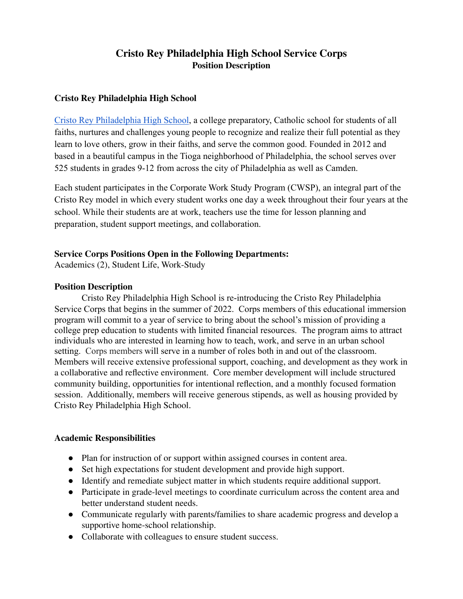# **Cristo Rey Philadelphia High School Service Corps Position Description**

# **Cristo Rey Philadelphia High School**

[Cristo Rey Philadelphia High School,](https://cristoreyphiladelphia.org/) a college preparatory, Catholic school for students of all faiths, nurtures and challenges young people to recognize and realize their full potential as they learn to love others, grow in their faiths, and serve the common good. Founded in 2012 and based in a beautiful campus in the Tioga neighborhood of Philadelphia, the school serves over 525 students in grades 9-12 from across the city of Philadelphia as well as Camden.

Each student participates in the Corporate Work Study Program (CWSP), an integral part of the Cristo Rey model in which every student works one day a week throughout their four years at the school. While their students are at work, teachers use the time for lesson planning and preparation, student support meetings, and collaboration.

# **Service Corps Positions Open in the Following Departments:**

Academics (2), Student Life, Work-Study

# **Position Description**

Cristo Rey Philadelphia High School is re-introducing the Cristo Rey Philadelphia Service Corps that begins in the summer of 2022. Corps members of this educational immersion program will commit to a year of service to bring about the school's mission of providing a college prep education to students with limited financial resources. The program aims to attract individuals who are interested in learning how to teach, work, and serve in an urban school setting. Corps members will serve in a number of roles both in and out of the classroom. Members will receive extensive professional support, coaching, and development as they work in a collaborative and reflective environment. Core member development will include structured community building, opportunities for intentional reflection, and a monthly focused formation session. Additionally, members will receive generous stipends, as well as housing provided by Cristo Rey Philadelphia High School.

## **Academic Responsibilities**

- Plan for instruction of or support within assigned courses in content area.
- Set high expectations for student development and provide high support.
- Identify and remediate subject matter in which students require additional support.
- Participate in grade-level meetings to coordinate curriculum across the content area and better understand student needs.
- Communicate regularly with parents/families to share academic progress and develop a supportive home-school relationship.
- Collaborate with colleagues to ensure student success.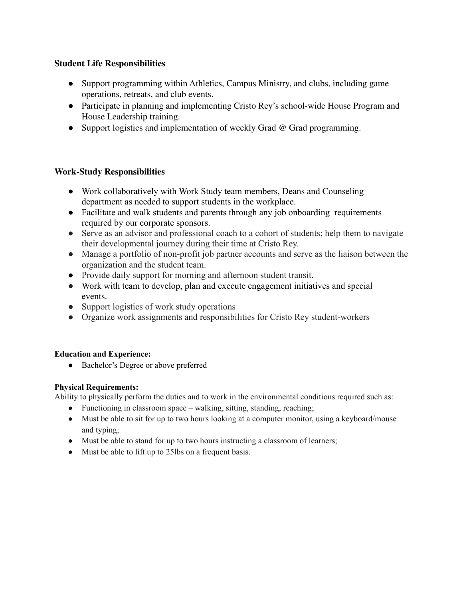# **Student Life Responsibilities**

- Support programming within Athletics, Campus Ministry, and clubs, including game operations, retreats, and club events.
- Participate in planning and implementing Cristo Rey's school-wide House Program and House Leadership training.
- Support logistics and implementation of weekly Grad @ Grad programming.

## **Work-Study Responsibilities**

- **●** Work collaboratively with Work Study team members, Deans and Counseling department as needed to support students in the workplace.
- Facilitate and walk students and parents through any job onboarding requirements required by our corporate sponsors.
- Serve as an advisor and professional coach to a cohort of students; help them to navigate their developmental journey during their time at Cristo Rey.
- Manage a portfolio of non-profit job partner accounts and serve as the liaison between the organization and the student team.
- **●** Provide daily support for morning and afternoon student transit.
- Work with team to develop, plan and execute engagement initiatives and special events.
- Support logistics of work study operations
- Organize work assignments and responsibilities for Cristo Rey student-workers

## **Education and Experience:**

• Bachelor's Degree or above preferred

#### **Physical Requirements:**

Ability to physically perform the duties and to work in the environmental conditions required such as:

- Functioning in classroom space walking, sitting, standing, reaching;
- Must be able to sit for up to two hours looking at a computer monitor, using a keyboard/mouse and typing;
- Must be able to stand for up to two hours instructing a classroom of learners;
- Must be able to lift up to 25lbs on a frequent basis.